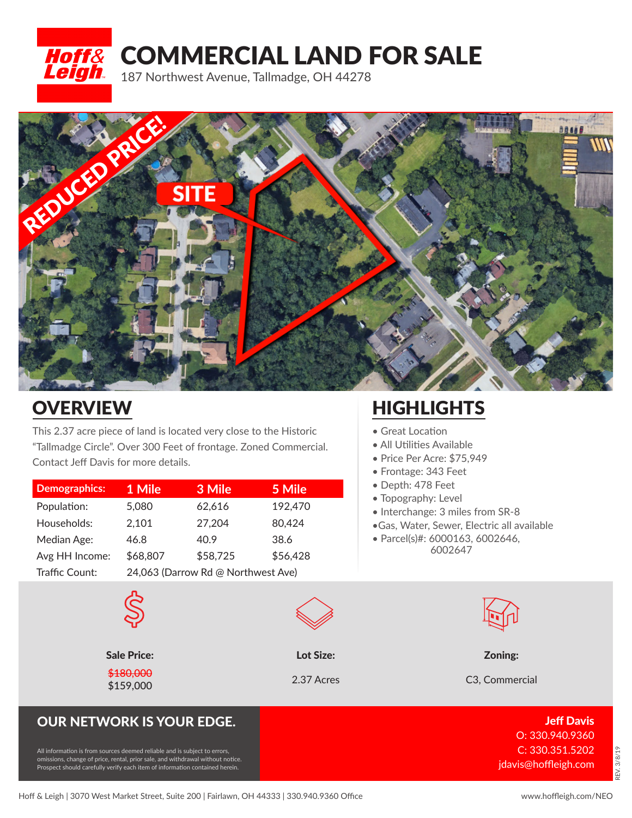# **Hoff& COMMERCIAL LAND FOR SALE** 187 Northwest Avenue, Tallmadge, OH 44278



## **OVERVIEW**

This 2.37 acre piece of land is located very close to the Historic "Tallmadge Circle". Over 300 Feet of frontage. Zoned Commercial. Contact Jeff Davis for more details.

| <b>Demographics:</b> | 1 Mile                             | 3 Mile   | 5 Mile   |
|----------------------|------------------------------------|----------|----------|
| Population:          | 5,080                              | 62,616   | 192,470  |
| Households:          | 2,101                              | 27,204   | 80,424   |
| Median Age:          | 46.8                               | 40.9     | 38.6     |
| Avg HH Income:       | \$68,807                           | \$58,725 | \$56,428 |
| Traffic Count:       | 24,063 (Darrow Rd @ Northwest Ave) |          |          |

### **HIGHLIGHTS**

- Great Location
- All Utilities Available
- Price Per Acre: \$75,949
- Frontage: 343 Feet
- Depth: 478 Feet
- Topography: Level
- Interchange: 3 miles from SR-8
- •Gas, Water, Sewer, Electric all available
- Parcel(s)#: 6000163, 6002646, 6002647



Sale Price: Lot Size: Zoning:

**\$159,000** 2.37 Acres C3, Commercial 2.37 Acres C3, Commercial 2.37 Acres C3, Commercial 2.37 Acres C3, Commercial 2.37 Acres C3, Commercial 2.37 Acres C3, Commercial 2.37 Acres C3, Commercial 2.37 Acres C3, Commercial 2.3

#### OUR NETWORK IS YOUR EDGE. Just a statement of the statement of the statement of the statement of the statement

\$180,000

All information is from sources deemed reliable and is subject to errors, omissions, change of price, rental, prior sale, and withdrawal without notice. Prospect should carefully verify each item of information contained herein.